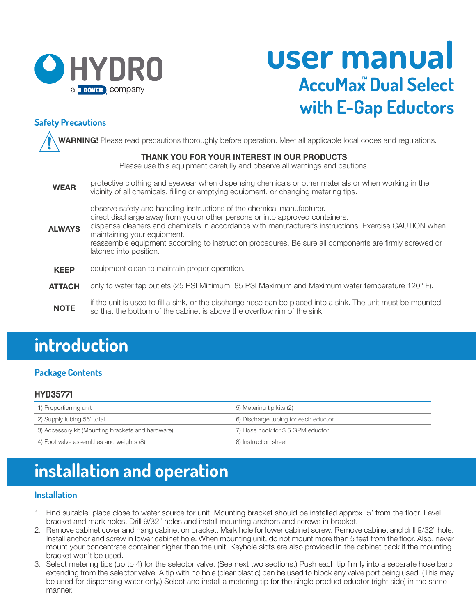

# **user manual AccuMax Dual Select ™ with E-Gap Eductors**

### **Safety Precautions**

 **WARNING!** Please read precautions thoroughly before operation. Meet all applicable local codes and regulations. Ĩ

#### **THANK YOU FOR YOUR INTEREST IN OUR PRODUCTS**

Please use this equipment carefully and observe all warnings and cautions.

 protective clothing and eyewear when dispensing chemicals or other materials or when working in the vicinity of all chemicals, filling or emptying equipment, or changing metering tips. **WEAR**

observe safety and handling instructions of the chemical manufacturer.

- direct discharge away from you or other persons or into approved containers.
- dispense cleaners and chemicals in accordance with manufacturer's instructions. Exercise CAUTION when maintaining your equipment. **ALWAYS**

 reassemble equipment according to instruction procedures. Be sure all components are firmly screwed or latched into position.

- equipment clean to maintain proper operation. **KEEP**
- only to water tap outlets (25 PSI Minimum, 85 PSI Maximum and Maximum water temperature 120° F). **ATTACH**
- if the unit is used to fill a sink, or the discharge hose can be placed into a sink. The unit must be mounted so that the bottom of the cabinet is above the overflow rim of the sink **NOTE**

## **introduction**

### **Package Contents**

#### **HYD35771**

| 1) Proportioning unit                             | 5) Metering tip kits (2)             |
|---------------------------------------------------|--------------------------------------|
| 2) Supply tubing 56' total                        | 6) Discharge tubing for each eductor |
| 3) Accessory kit (Mounting brackets and hardware) | 7) Hose hook for 3.5 GPM eductor     |
| 4) Foot valve assemblies and weights (8)          | 8) Instruction sheet                 |

# **installation and operation**

### **Installation**

- 1. Find suitable place close to water source for unit. Mounting bracket should be installed approx. 5' from the floor. Level bracket and mark holes. Drill 9/32" holes and install mounting anchors and screws in bracket.
- 2. Remove cabinet cover and hang cabinet on bracket. Mark hole for lower cabinet screw. Remove cabinet and drill 9/32" hole. Install anchor and screw in lower cabinet hole. When mounting unit, do not mount more than 5 feet from the floor. Also, never mount your concentrate container higher than the unit. Keyhole slots are also provided in the cabinet back if the mounting bracket won't be used.
- 3. Select metering tips (up to 4) for the selector valve. (See next two sections.) Push each tip firmly into a separate hose barb extending from the selector valve. A tip with no hole (clear plastic) can be used to block any valve port being used. (This may be used for dispensing water only.) Select and install a metering tip for the single product eductor (right side) in the same manner.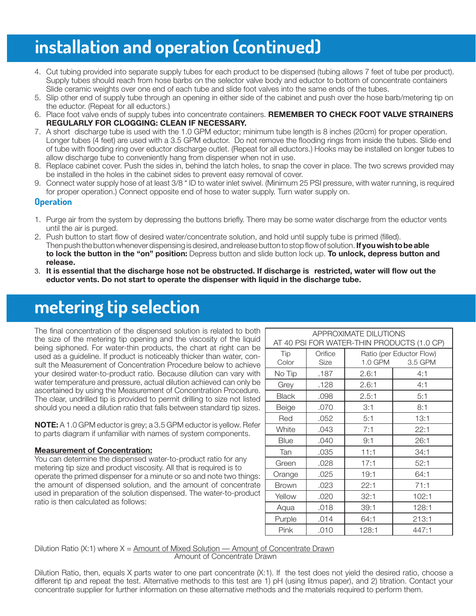# **installation and operation (continued)**

- 4. Cut tubing provided into separate supply tubes for each product to be dispensed (tubing allows 7 feet of tube per product). Supply tubes should reach from hose barbs on the selector valve body and eductor to bottom of concentrate containers Slide ceramic weights over one end of each tube and slide foot valves into the same ends of the tubes.
- 5. Slip other end of supply tube through an opening in either side of the cabinet and push over the hose barb/metering tip on the eductor. (Repeat for all eductors.)
- 6. Place foot valve ends of supply tubes into concentrate containers. **REMEMBER TO CHECK FOOT VALVE STRAINERS REGULARLY FOR CLOGGING: CLEAN IF NECESSARY.**
- 7. A short discharge tube is used with the 1.0 GPM eductor; minimum tube length is 8 inches (20cm) for proper operation. Longer tubes (4 feet) are used with a 3.5 GPM eductor. Do not remove the flooding rings from inside the tubes. Slide end of tube with flooding ring over eductor discharge outlet. (Repeat for all eductors.) Hooks may be installed on longer tubes to allow discharge tube to conveniently hang from dispenser when not in use.
- 8. Replace cabinet cover. Push the sides in, behind the latch holes, to snap the cover in place. The two screws provided may be installed in the holes in the cabinet sides to prevent easy removal of cover.
- 9. Connect water supply hose of at least 3/8 " ID to water inlet swivel. (Minimum 25 PSI pressure, with water running, is required for proper operation.) Connect opposite end of hose to water supply. Turn water supply on.

#### **Operation**

- 1. Purge air from the system by depressing the buttons briefly. There may be some water discharge from the eductor vents until the air is purged.
- 2. Push button to start flow of desired water/concentrate solution, and hold until supply tube is primed (filled). Then push the button whenever dispensing is desired, and release button to stop flow of solution. **If you wish to be able to lock the button in the "on" position:** Depress button and slide button lock up. **To unlock, depress button and release.**
- 3. **It is essential that the discharge hose not be obstructed. If discharge is restricted, water will flow out the eductor vents. Do not start to operate the dispenser with liquid in the discharge tube.**

# **metering tip selection**

The final concentration of the dispensed solution is related to both the size of the metering tip opening and the viscosity of the liquid being siphoned. For water-thin products, the chart at right can be used as a guideline. If product is noticeably thicker than water, consult the Measurement of Concentration Procedure below to achieve your desired water-to-product ratio. Because dilution can vary with water temperature and pressure, actual dilution achieved can only be ascertained by using the Measurement of Concentration Procedure. The clear, undrilled tip is provided to permit drilling to size not listed should you need a dilution ratio that falls between standard tip sizes.

**NOTE:** A 1.0 GPM eductor is grey; a 3.5 GPM eductor is yellow. Refer to parts diagram if unfamiliar with names of system components.

#### **Measurement of Concentration:**

You can determine the dispensed water-to-product ratio for any metering tip size and product viscosity. All that is required is to operate the primed dispenser for a minute or so and note two things: the amount of dispensed solution, and the amount of concentrate used in preparation of the solution dispensed. The water-to-product ratio is then calculated as follows:

| APPROXIMATE DILUTIONS                      |                        |                                                |       |  |
|--------------------------------------------|------------------------|------------------------------------------------|-------|--|
| AT 40 PSI FOR WATER-THIN PRODUCTS (1.0 CP) |                        |                                                |       |  |
| Tip<br>Color                               | Orifice<br><b>Size</b> | Ratio (per Eductor Flow)<br>1.0 GPM<br>3.5 GPM |       |  |
| No Tip                                     | .187                   | 2.6:1                                          | 4:1   |  |
| Grey                                       | .128                   | 2.6:1                                          | 4:1   |  |
| <b>Black</b>                               | .098                   | 2.5:1                                          | 5:1   |  |
| Beige                                      | .070                   | 3:1                                            | 8:1   |  |
| Red                                        | .052                   | 5:1                                            | 13:1  |  |
| White                                      | .043                   | 7:1                                            | 22:1  |  |
| <b>Blue</b>                                | .040                   | 9:1                                            | 26:1  |  |
| Tan                                        | .035                   | 11:1                                           | 34:1  |  |
| Green                                      | .028                   | 17:1                                           | 52:1  |  |
| Orange                                     | .025                   | 19:1                                           | 64:1  |  |
| Brown                                      | .023                   | 22:1                                           | 71:1  |  |
| Yellow                                     | .020                   | 32:1                                           | 102:1 |  |
| Aqua                                       | .018                   | 39:1                                           | 128:1 |  |
| Purple                                     | .014                   | 64:1                                           | 213:1 |  |
| Pink                                       | .010                   | 128:1                                          | 447:1 |  |

#### Dilution Ratio (X:1) where X = Amount of Mixed Solution — Amount of Concentrate Drawn Amount of Concentrate Drawn

Dilution Ratio, then, equals X parts water to one part concentrate (X:1). If the test does not yield the desired ratio, choose a different tip and repeat the test. Alternative methods to this test are 1) pH (using litmus paper), and 2) titration. Contact your concentrate supplier for further information on these alternative methods and the materials required to perform them.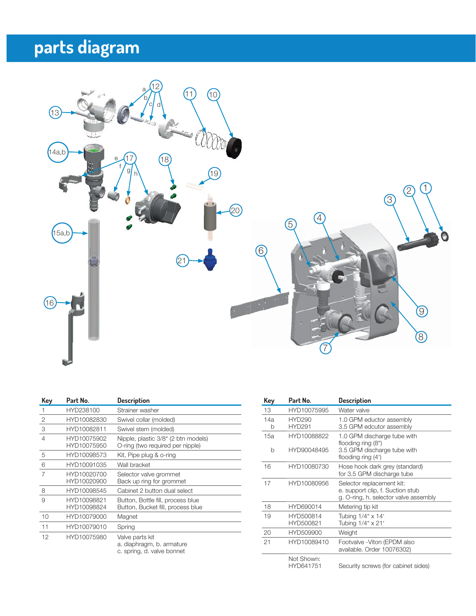# **parts diagram**



| Key            | Part No.                   | <b>Description</b>                                                         |
|----------------|----------------------------|----------------------------------------------------------------------------|
| 1              | HYD238100                  | Strainer washer                                                            |
| 2              | HYD10082830                | Swivel collar (molded)                                                     |
| 3              | HYD10082811                | Swivel stem (molded)                                                       |
| $\overline{4}$ | HYD10075902<br>HYD10075950 | Nipple, plastic 3/8" (2 btn models)<br>O-ring (two required per nipple)    |
| 5              | HYD10098573                | Kit, Pipe plug & o-ring                                                    |
| 6              | HYD10091035                | Wall bracket                                                               |
| 7              | HYD10020700<br>HYD10020900 | Selector valve grommet<br>Back up ring for grommet                         |
| 8              | HYD10098545                | Cabinet 2 button dual select                                               |
| 9              | HYD10098821<br>HYD10098824 | Button, Bottle fill, process blue<br>Button, Bucket fill, process blue     |
| 10             | HYD10079000                | Magnet                                                                     |
| 11             | HYD10079010                | Spring                                                                     |
| 12             | HYD10075980                | Valve parts kit<br>a. diaphragm, b. armature<br>c. spring, d. valve bonnet |
|                |                            |                                                                            |

| <b>Key</b> | Part No.                       | <b>Description</b>                                                                                     |
|------------|--------------------------------|--------------------------------------------------------------------------------------------------------|
| 13         | HYD10075995                    | Water valve                                                                                            |
| 14a<br>b   | <b>HYD290</b><br><b>HYD291</b> | 1.0 GPM eductor assembly<br>3.5 GPM edcutor assembly                                                   |
| 15a<br>b   | HYD10088822<br>HYD90048495     | 1.0 GPM discharge tube with<br>flooding ring (8")<br>3.5 GPM discharge tube with<br>flooding ring (4') |
| 16         | HYD10080730                    | Hose hook dark grey (standard)<br>for 3.5 GPM discharge tube                                           |
| 17         | HYD10080956                    | Selector replacement kit:<br>e. support clip, f. Suction stub<br>g. O-ring, h. selector valve assembly |
| 18         | HYD690014                      | Metering tip kit                                                                                       |
| 19         | HYD500814<br>HYD500821         | Tubing 1/4" x 14'<br>Tubing 1/4" x 21'                                                                 |
| 20         | HYD509900                      | Weight                                                                                                 |
| 21         | HYD10089410                    | Footvalve - Viton (EPDM also<br>available. Order 10076302)                                             |
|            | Not Shown:<br>IN/DC 14754      | Coough corous (for ophinat oldea)                                                                      |

HYD641751 Security screws (for cabinet sides)